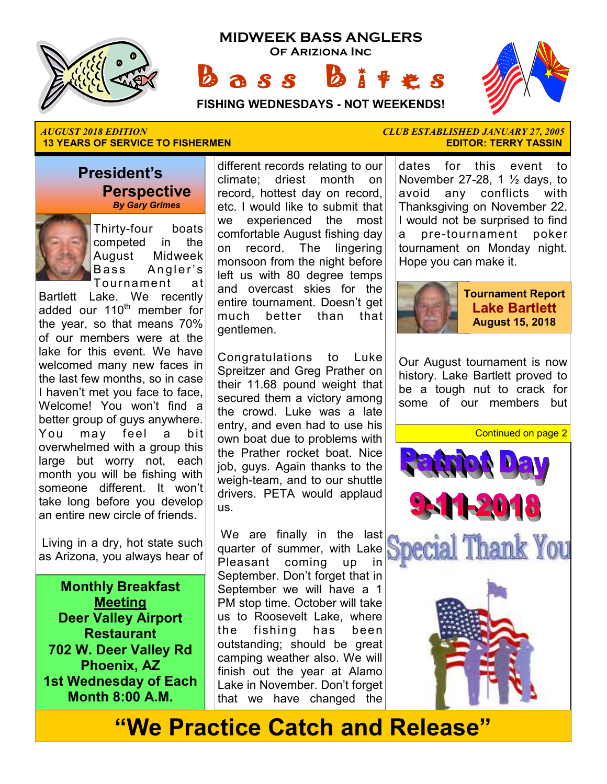

**MIDWEEK BASS ANGLERS Of Ariziona Inc**

**a** s s





# **13 YEARS OF SERVICE TO FISHERMEN EDITOR: TERRY TASSIN**

#### **President's Perspective**   *By Gary Grimes*



Thirty-four boats competed in the August Midweek Bass Angler's Tournament at

Bartlett Lake. We recently  $added$  our  $110<sup>th</sup>$  member for the year, so that means 70% of our members were at the lake for this event. We have welcomed many new faces in the last few months, so in case I haven't met you face to face, Welcome! You won't find a better group of guys anywhere. You may feel a bit overwhelmed with a group this large but worry not, each month you will be fishing with someone different. It won't take long before you develop an entire new circle of friends.

 Living in a dry, hot state such as Arizona, you always hear of

**Monthly Breakfast Meeting Deer Valley Airport Restaurant 702 W. Deer Valley Rd Phoenix, AZ 1st Wednesday of Each Month 8:00 A.M.** 

different records relating to our climate; driest month on record, hottest day on record, etc. I would like to submit that we experienced the most comfortable August fishing day on record. The lingering monsoon from the night before left us with 80 degree temps and overcast skies for the entire tournament. Doesn't get much better than that gentlemen.

Congratulations to Luke Spreitzer and Greg Prather on their 11.68 pound weight that secured them a victory among the crowd. Luke was a late entry, and even had to use his own boat due to problems with the Prather rocket boat. Nice job, guys. Again thanks to the weigh-team, and to our shuttle drivers. PETA would applaud us.

We are finally in the last quarter of summer, with Lake Pleasant coming up in September. Don't forget that in September we will have a 1 PM stop time. October will take us to Roosevelt Lake, where the fishing has been outstanding; should be great camping weather also. We will finish out the year at Alamo Lake in November. Don't forget that we have changed the

*AUGUST 2018 EDITION CLUB ESTABLISHED JANUARY 27, 2005* 

dates for this event to November 27-28, 1  $\frac{1}{2}$  days, to avoid any conflicts with Thanksgiving on November 22. I would not be surprised to find a pre-tournament poker tournament on Monday night. Hope you can make it.



Our August tournament is now history. Lake Bartlett proved to be a tough nut to crack for some of our members but





# **"We Practice Catch and Release"**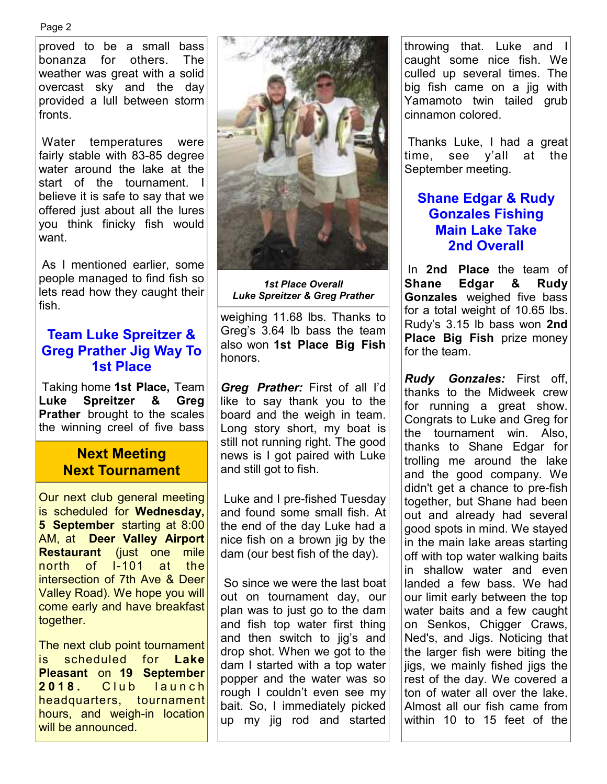Page 2

proved to be a small bass bonanza for others. The weather was great with a solid overcast sky and the day provided a lull between storm fronts.

 Water temperatures were fairly stable with 83-85 degree water around the lake at the start of the tournament. I believe it is safe to say that we offered just about all the lures you think finicky fish would want.

 As I mentioned earlier, some people managed to find fish so lets read how they caught their fish.

#### **Team Luke Spreitzer & Greg Prather Jig Way To 1st Place**

 Taking home **1st Place,** Team **Luke Spreitzer & Greg Prather** brought to the scales the winning creel of five bass

#### **Next Meeting Next Tournament**

Our next club general meeting is scheduled for **Wednesday, 5 September** starting at 8:00 AM, at **Deer Valley Airport Restaurant** (just one mile north of I-101 at the intersection of 7th Ave & Deer Valley Road). We hope you will come early and have breakfast together.

The next club point tournament is scheduled for **Lake Pleasant** on **19 September 2018.** Club launch headquarters, tournament hours, and weigh-in location will be announced.



*1st Place Overall Luke Spreitzer & Greg Prather* 

weighing 11.68 lbs. Thanks to Greg's 3.64 lb bass the team also won **1st Place Big Fish**  honors.

*Greg Prather:* First of all I'd like to say thank you to the board and the weigh in team. Long story short, my boat is still not running right. The good news is I got paired with Luke and still got to fish.

 Luke and I pre-fished Tuesday and found some small fish. At the end of the day Luke had a nice fish on a brown jig by the dam (our best fish of the day).

 So since we were the last boat out on tournament day, our plan was to just go to the dam and fish top water first thing and then switch to jig's and drop shot. When we got to the dam I started with a top water popper and the water was so rough I couldn't even see my bait. So, I immediately picked up my jig rod and started throwing that. Luke and I caught some nice fish. We culled up several times. The big fish came on a jig with Yamamoto twin tailed grub cinnamon colored.

 Thanks Luke, I had a great time, see y'all at the September meeting.

#### **Shane Edgar & Rudy Gonzales Fishing Main Lake Take 2nd Overall**

 In **2nd Place** the team of **Shane Edgar & Rudy Gonzales** weighed five bass for a total weight of 10.65 lbs. Rudy's 3.15 lb bass won **2nd Place Big Fish** prize money for the team.

*Rudy Gonzales:* First off, thanks to the Midweek crew for running a great show. Congrats to Luke and Greg for the tournament win. Also, thanks to Shane Edgar for trolling me around the lake and the good company. We didn't get a chance to pre-fish together, but Shane had been out and already had several good spots in mind. We stayed in the main lake areas starting off with top water walking baits in shallow water and even landed a few bass. We had our limit early between the top water baits and a few caught on Senkos, Chigger Craws, Ned's, and Jigs. Noticing that the larger fish were biting the jigs, we mainly fished jigs the rest of the day. We covered a ton of water all over the lake. Almost all our fish came from within 10 to 15 feet of the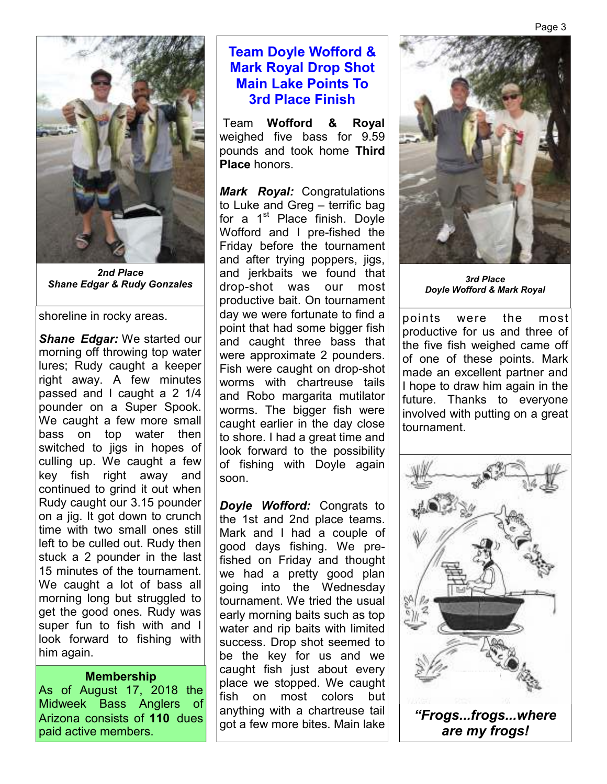

*2nd Place* 

shoreline in rocky areas.

*Shane Edgar:* We started our morning off throwing top water lures; Rudy caught a keeper right away. A few minutes passed and I caught a 2 1/4 pounder on a Super Spook. We caught a few more small bass on top water then switched to jigs in hopes of culling up. We caught a few key fish right away and continued to grind it out when Rudy caught our 3.15 pounder on a jig. It got down to crunch time with two small ones still left to be culled out. Rudy then stuck a 2 pounder in the last 15 minutes of the tournament. We caught a lot of bass all morning long but struggled to get the good ones. Rudy was super fun to fish with and I look forward to fishing with him again.

#### **Membership**

As of August 17, 2018 the Midweek Bass Anglers of Arizona consists of **110** dues paid active members.

#### **Team Doyle Wofford & Mark Royal Drop Shot Main Lake Points To 3rd Place Finish**

 Team **Wofford & Royal**  weighed five bass for 9.59 pounds and took home **Third Place** honors.

*Mark Royal:* Congratulations to Luke and Greg – terrific bag for a  $1<sup>st</sup>$  Place finish. Doyle Wofford and I pre-fished the Friday before the tournament and after trying poppers, jigs, and jerkbaits we found that drop-shot was our most productive bait. On tournament day we were fortunate to find a point that had some bigger fish and caught three bass that were approximate 2 pounders. Fish were caught on drop-shot worms with chartreuse tails and Robo margarita mutilator worms. The bigger fish were caught earlier in the day close to shore. I had a great time and look forward to the possibility of fishing with Doyle again soon. **Shane Edgar & Rudy Gonzales** and Johnson's we found that **3rd Place** 3rd Place 3rd Place

> *Doyle Wofford:* Congrats to the 1st and 2nd place teams. Mark and I had a couple of good days fishing. We prefished on Friday and thought we had a pretty good plan going into the Wednesday tournament. We tried the usual early morning baits such as top water and rip baits with limited success. Drop shot seemed to be the key for us and we caught fish just about every place we stopped. We caught fish on most colors but anything with a chartreuse tail got a few more bites. Main lake



*Doyle Wofford & Mark Royal*

points were the most productive for us and three of the five fish weighed came off of one of these points. Mark made an excellent partner and I hope to draw him again in the future. Thanks to everyone involved with putting on a great tournament.

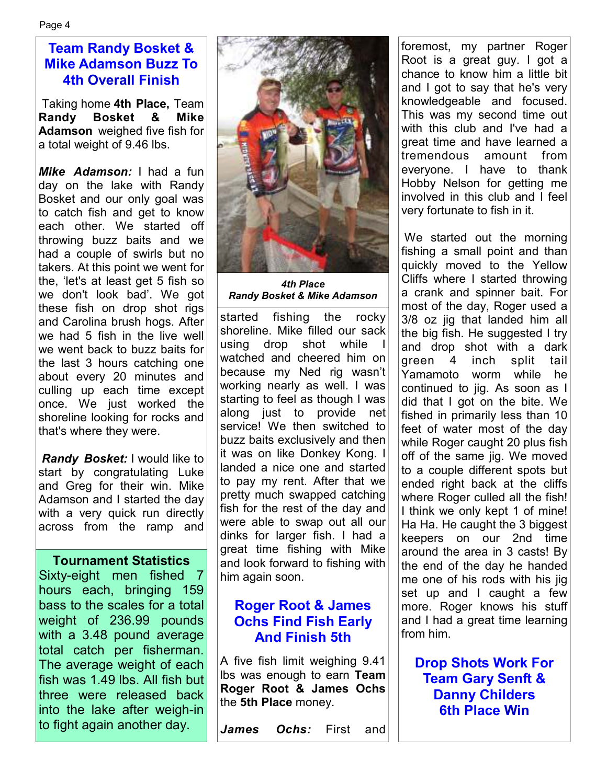#### **Team Randy Bosket & Mike Adamson Buzz To 4th Overall Finish**

 Taking home **4th Place,** Team **Randy Bosket & Mike Adamson** weighed five fish for a total weight of 9.46 lbs.

*Mike Adamson:* I had a fun day on the lake with Randy Bosket and our only goal was to catch fish and get to know each other. We started off throwing buzz baits and we had a couple of swirls but no takers. At this point we went for the, 'let's at least get 5 fish so we don't look bad'. We got these fish on drop shot rigs and Carolina brush hogs. After we had 5 fish in the live well we went back to buzz baits for the last 3 hours catching one about every 20 minutes and culling up each time except once. We just worked the shoreline looking for rocks and that's where they were.

*Randy Bosket:* I would like to start by congratulating Luke and Greg for their win. Mike Adamson and I started the day with a very quick run directly across from the ramp and

#### **Tournament Statistics**

Sixty-eight men fished 7 hours each, bringing 159 bass to the scales for a total weight of 236.99 pounds with a 3.48 pound average total catch per fisherman. The average weight of each fish was 1.49 lbs. All fish but three were released back into the lake after weigh-in to fight again another day.



*4th Place Randy Bosket & Mike Adamson* 

started fishing the rocky shoreline. Mike filled our sack using drop shot while watched and cheered him on because my Ned rig wasn't working nearly as well. I was starting to feel as though I was along just to provide net service! We then switched to buzz baits exclusively and then it was on like Donkey Kong. I landed a nice one and started to pay my rent. After that we pretty much swapped catching fish for the rest of the day and were able to swap out all our dinks for larger fish. I had a great time fishing with Mike and look forward to fishing with him again soon.

#### **Roger Root & James Ochs Find Fish Early And Finish 5th**

A five fish limit weighing 9.41 lbs was enough to earn **Team Roger Root & James Ochs**  the **5th Place** money.

*James Ochs:* First and

foremost, my partner Roger Root is a great guy. I got a chance to know him a little bit and I got to say that he's very knowledgeable and focused. This was my second time out with this club and I've had a great time and have learned a tremendous amount from everyone. I have to thank Hobby Nelson for getting me involved in this club and I feel very fortunate to fish in it.

 We started out the morning fishing a small point and than quickly moved to the Yellow Cliffs where I started throwing a crank and spinner bait. For most of the day, Roger used a 3/8 oz jig that landed him all the big fish. He suggested I try and drop shot with a dark green 4 inch split tail Yamamoto worm while he continued to jig. As soon as I did that I got on the bite. We fished in primarily less than 10 feet of water most of the day while Roger caught 20 plus fish off of the same jig. We moved to a couple different spots but ended right back at the cliffs where Roger culled all the fish! I think we only kept 1 of mine! Ha Ha. He caught the 3 biggest keepers on our 2nd time around the area in 3 casts! By the end of the day he handed me one of his rods with his jig set up and I caught a few more. Roger knows his stuff and I had a great time learning from him.

**Drop Shots Work For Team Gary Senft & Danny Childers 6th Place Win**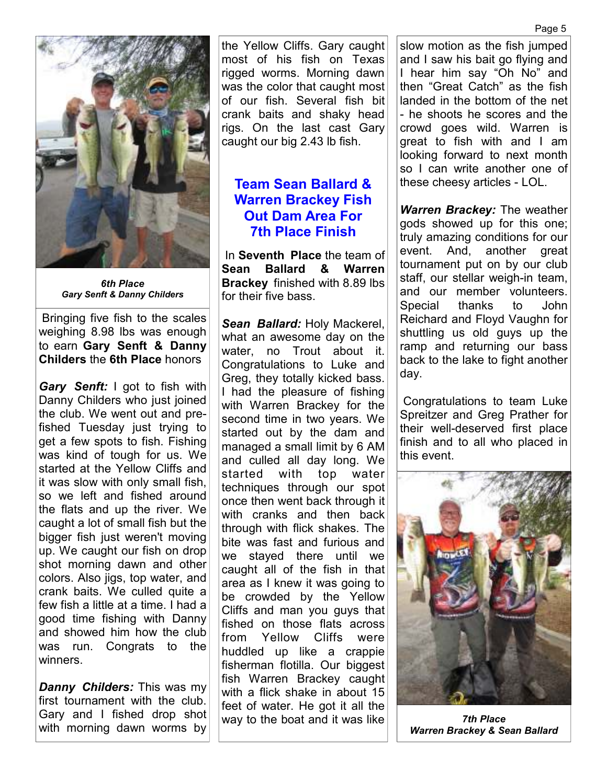

*6th Place Gary Senft & Danny Childers* 

 Bringing five fish to the scales weighing 8.98 lbs was enough to earn **Gary Senft & Danny Childers** the **6th Place** honors

*Gary Senft:* I got to fish with Danny Childers who just joined the club. We went out and prefished Tuesday just trying to get a few spots to fish. Fishing was kind of tough for us. We started at the Yellow Cliffs and it was slow with only small fish, so we left and fished around the flats and up the river. We caught a lot of small fish but the bigger fish just weren't moving up. We caught our fish on drop shot morning dawn and other colors. Also jigs, top water, and crank baits. We culled quite a few fish a little at a time. I had a good time fishing with Danny and showed him how the club was run. Congrats to the winners.

*Danny Childers:* This was my first tournament with the club. Gary and I fished drop shot with morning dawn worms by the Yellow Cliffs. Gary caught most of his fish on Texas rigged worms. Morning dawn was the color that caught most of our fish. Several fish bit crank baits and shaky head rigs. On the last cast Gary caught our big 2.43 lb fish.

#### **Team Sean Ballard & Warren Brackey Fish Out Dam Area For 7th Place Finish**

 In **Seventh Place** the team of **Sean Ballard & Warren Brackey** finished with 8.89 lbs for their five bass.

*Sean Ballard:* Holy Mackerel, what an awesome day on the water, no Trout about it. Congratulations to Luke and Greg, they totally kicked bass. I had the pleasure of fishing with Warren Brackey for the second time in two years. We started out by the dam and managed a small limit by 6 AM and culled all day long. We started with top water techniques through our spot once then went back through it with cranks and then back through with flick shakes. The bite was fast and furious and we stayed there until we caught all of the fish in that area as I knew it was going to be crowded by the Yellow Cliffs and man you guys that fished on those flats across from Yellow Cliffs were huddled up like a crappie fisherman flotilla. Our biggest fish Warren Brackey caught with a flick shake in about 15 feet of water. He got it all the way to the boat and it was like

slow motion as the fish jumped and I saw his bait go flying and I hear him say "Oh No" and then "Great Catch" as the fish landed in the bottom of the net - he shoots he scores and the crowd goes wild. Warren is great to fish with and I am looking forward to next month so I can write another one of these cheesy articles - LOL.

*Warren Brackey:* The weather gods showed up for this one; truly amazing conditions for our event. And, another great tournament put on by our club staff, our stellar weigh-in team, and our member volunteers. Special thanks to John Reichard and Floyd Vaughn for shuttling us old guys up the ramp and returning our bass back to the lake to fight another day.

 Congratulations to team Luke Spreitzer and Greg Prather for their well-deserved first place finish and to all who placed in this event.



*7th Place Warren Brackey & Sean Ballard*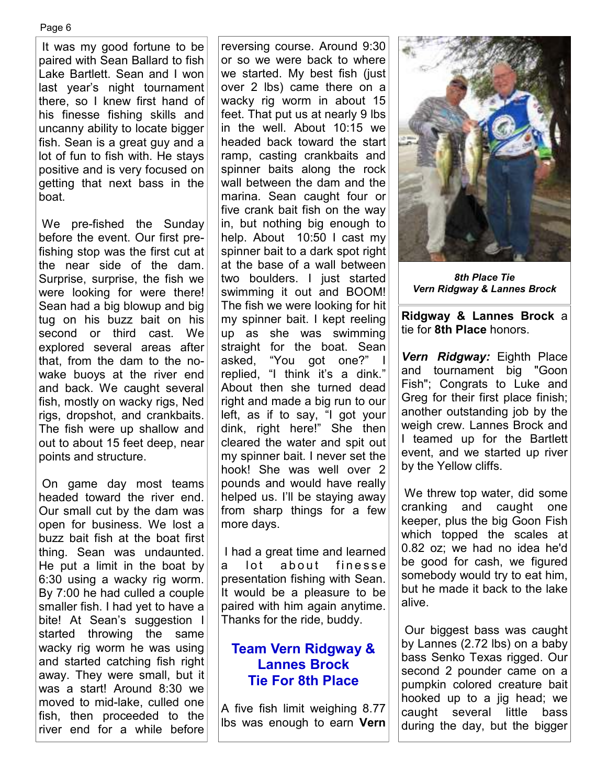Page 6

 It was my good fortune to be paired with Sean Ballard to fish Lake Bartlett. Sean and I won last year's night tournament there, so I knew first hand of his finesse fishing skills and uncanny ability to locate bigger fish. Sean is a great guy and a lot of fun to fish with. He stays positive and is very focused on getting that next bass in the boat.

 We pre-fished the Sunday before the event. Our first prefishing stop was the first cut at the near side of the dam. Surprise, surprise, the fish we were looking for were there! Sean had a big blowup and big tug on his buzz bait on his second or third cast. We explored several areas after that, from the dam to the nowake buoys at the river end and back. We caught several fish, mostly on wacky rigs, Ned rigs, dropshot, and crankbaits. The fish were up shallow and out to about 15 feet deep, near points and structure.

 On game day most teams headed toward the river end. Our small cut by the dam was open for business. We lost a buzz bait fish at the boat first thing. Sean was undaunted. He put a limit in the boat by 6:30 using a wacky rig worm. By 7:00 he had culled a couple smaller fish. I had yet to have a bite! At Sean's suggestion I started throwing the same wacky rig worm he was using and started catching fish right away. They were small, but it was a start! Around 8:30 we moved to mid-lake, culled one fish, then proceeded to the river end for a while before

reversing course. Around 9:30 or so we were back to where we started. My best fish (just over 2 lbs) came there on a wacky rig worm in about 15 feet. That put us at nearly 9 lbs in the well. About 10:15 we headed back toward the start ramp, casting crankbaits and spinner baits along the rock wall between the dam and the marina. Sean caught four or five crank bait fish on the way in, but nothing big enough to help. About 10:50 I cast my spinner bait to a dark spot right at the base of a wall between two boulders. I just started swimming it out and BOOM! The fish we were looking for hit my spinner bait. I kept reeling up as she was swimming straight for the boat. Sean asked, "You got one?" I replied, "I think it's a dink." About then she turned dead right and made a big run to our left, as if to say, "I got your dink, right here!" She then cleared the water and spit out my spinner bait. I never set the hook! She was well over 2 pounds and would have really helped us. I'll be staying away from sharp things for a few more days.

 I had a great time and learned a lot about finesse presentation fishing with Sean. It would be a pleasure to be paired with him again anytime. Thanks for the ride, buddy.

#### **Team Vern Ridgway & Lannes Brock Tie For 8th Place**

A five fish limit weighing 8.77 lbs was enough to earn **Vern** 



*8th Place Tie Vern Ridgway & Lannes Brock* 

**Ridgway & Lannes Brock** a tie for **8th Place** honors.

*Vern Ridgway:* Eighth Place and tournament big "Goon Fish"; Congrats to Luke and Greg for their first place finish; another outstanding job by the weigh crew. Lannes Brock and I teamed up for the Bartlett event, and we started up river by the Yellow cliffs.

 We threw top water, did some cranking and caught one keeper, plus the big Goon Fish which topped the scales at 0.82 oz; we had no idea he'd be good for cash, we figured somebody would try to eat him, but he made it back to the lake alive.

 Our biggest bass was caught by Lannes (2.72 lbs) on a baby bass Senko Texas rigged. Our second 2 pounder came on a pumpkin colored creature bait hooked up to a jig head; we caught several little bass during the day, but the bigger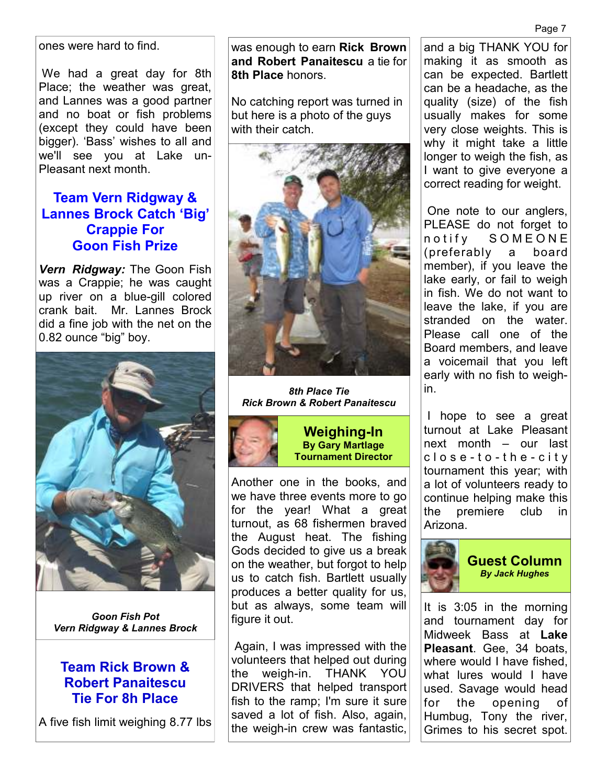Page 7

ones were hard to find.

 We had a great day for 8th Place; the weather was great, and Lannes was a good partner and no boat or fish problems (except they could have been bigger). 'Bass' wishes to all and we'll see you at Lake un-Pleasant next month.

#### **Team Vern Ridgway & Lannes Brock Catch 'Big' Crappie For Goon Fish Prize**

*Vern Ridgway:* The Goon Fish was a Crappie; he was caught up river on a blue-gill colored crank bait. Mr. Lannes Brock did a fine job with the net on the 0.82 ounce "big" boy.



*Goon Fish Pot Vern Ridgway & Lannes Brock* 

#### **Team Rick Brown & Robert Panaitescu Tie For 8h Place**

A five fish limit weighing 8.77 lbs

was enough to earn **Rick Brown and Robert Panaitescu** a tie for **8th Place** honors.

No catching report was turned in but here is a photo of the guys with their catch.



*8th Place Tie Rick Brown & Robert Panaitescu*



**Weighing-In By Gary Martlage Tournament Director** 

Another one in the books, and we have three events more to go for the year! What a great turnout, as 68 fishermen braved the August heat. The fishing Gods decided to give us a break on the weather, but forgot to help us to catch fish. Bartlett usually produces a better quality for us, but as always, some team will figure it out.

 Again, I was impressed with the volunteers that helped out during the weigh-in. THANK YOU DRIVERS that helped transport fish to the ramp; I'm sure it sure saved a lot of fish. Also, again, the weigh-in crew was fantastic,

and a big THANK YOU for making it as smooth as can be expected. Bartlett can be a headache, as the quality (size) of the fish usually makes for some very close weights. This is why it might take a little longer to weigh the fish, as I want to give everyone a correct reading for weight.

 One note to our anglers, PLEASE do not forget to n o t i f y SOMEONE (preferably a board member), if you leave the lake early, or fail to weigh in fish. We do not want to leave the lake, if you are stranded on the water. Please call one of the Board members, and leave a voicemail that you left early with no fish to weighin.

 I hope to see a great turnout at Lake Pleasant next month – our last c l o s e - t o - t h e - c i t y tournament this year; with a lot of volunteers ready to continue helping make this the premiere club in Arizona.



It is 3:05 in the morning and tournament day for Midweek Bass at **Lake Pleasant**. Gee, 34 boats, where would I have fished, what lures would I have used. Savage would head for the opening of Humbug, Tony the river, Grimes to his secret spot.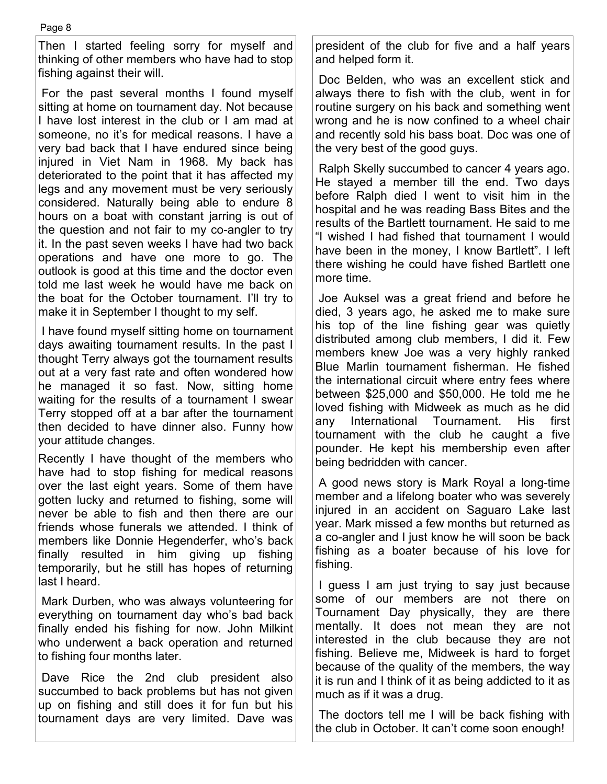Then I started feeling sorry for myself and thinking of other members who have had to stop fishing against their will.

 For the past several months I found myself sitting at home on tournament day. Not because I have lost interest in the club or I am mad at someone, no it's for medical reasons. I have a very bad back that I have endured since being injured in Viet Nam in 1968. My back has deteriorated to the point that it has affected my legs and any movement must be very seriously considered. Naturally being able to endure 8 hours on a boat with constant jarring is out of the question and not fair to my co-angler to try it. In the past seven weeks I have had two back operations and have one more to go. The outlook is good at this time and the doctor even told me last week he would have me back on the boat for the October tournament. I'll try to make it in September I thought to my self.

 I have found myself sitting home on tournament days awaiting tournament results. In the past I thought Terry always got the tournament results out at a very fast rate and often wondered how he managed it so fast. Now, sitting home waiting for the results of a tournament I swear Terry stopped off at a bar after the tournament then decided to have dinner also. Funny how your attitude changes.

Recently I have thought of the members who have had to stop fishing for medical reasons over the last eight years. Some of them have gotten lucky and returned to fishing, some will never be able to fish and then there are our friends whose funerals we attended. I think of members like Donnie Hegenderfer, who's back finally resulted in him giving up fishing temporarily, but he still has hopes of returning last I heard.

 Mark Durben, who was always volunteering for everything on tournament day who's bad back finally ended his fishing for now. John Milkint who underwent a back operation and returned to fishing four months later.

 Dave Rice the 2nd club president also succumbed to back problems but has not given up on fishing and still does it for fun but his tournament days are very limited. Dave was president of the club for five and a half years and helped form it.

 Doc Belden, who was an excellent stick and always there to fish with the club, went in for routine surgery on his back and something went wrong and he is now confined to a wheel chair and recently sold his bass boat. Doc was one of the very best of the good guys.

 Ralph Skelly succumbed to cancer 4 years ago. He stayed a member till the end. Two days before Ralph died I went to visit him in the hospital and he was reading Bass Bites and the results of the Bartlett tournament. He said to me "I wished I had fished that tournament I would have been in the money, I know Bartlett". I left there wishing he could have fished Bartlett one more time.

 Joe Auksel was a great friend and before he died, 3 years ago, he asked me to make sure his top of the line fishing gear was quietly distributed among club members, I did it. Few members knew Joe was a very highly ranked Blue Marlin tournament fisherman. He fished the international circuit where entry fees where between \$25,000 and \$50,000. He told me he loved fishing with Midweek as much as he did any International Tournament. His first tournament with the club he caught a five pounder. He kept his membership even after being bedridden with cancer.

 A good news story is Mark Royal a long-time member and a lifelong boater who was severely injured in an accident on Saguaro Lake last year. Mark missed a few months but returned as a co-angler and I just know he will soon be back fishing as a boater because of his love for fishing.

 I guess I am just trying to say just because some of our members are not there on Tournament Day physically, they are there mentally. It does not mean they are not interested in the club because they are not fishing. Believe me, Midweek is hard to forget because of the quality of the members, the way it is run and I think of it as being addicted to it as much as if it was a drug.

 The doctors tell me I will be back fishing with the club in October. It can't come soon enough!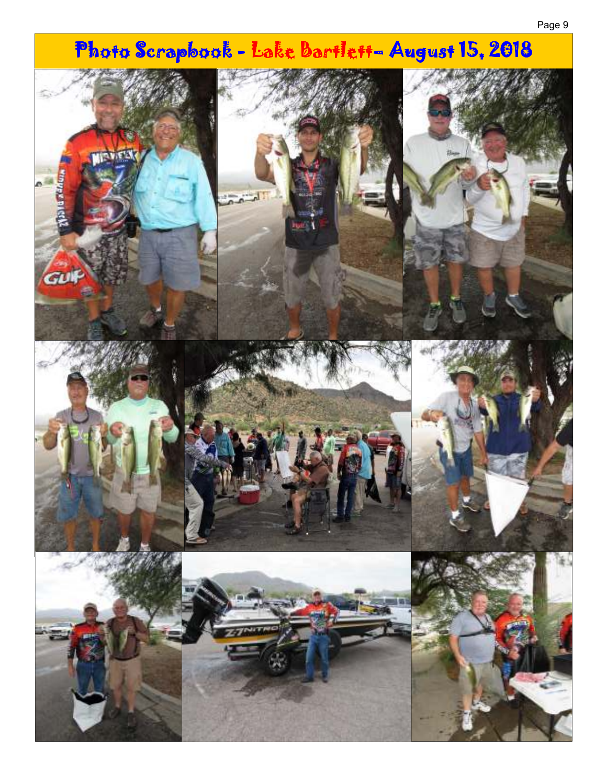# Photo Scrapbook - Lake Bartlett- August 15, 2018 **MISSICAL MERELLON** 'GU